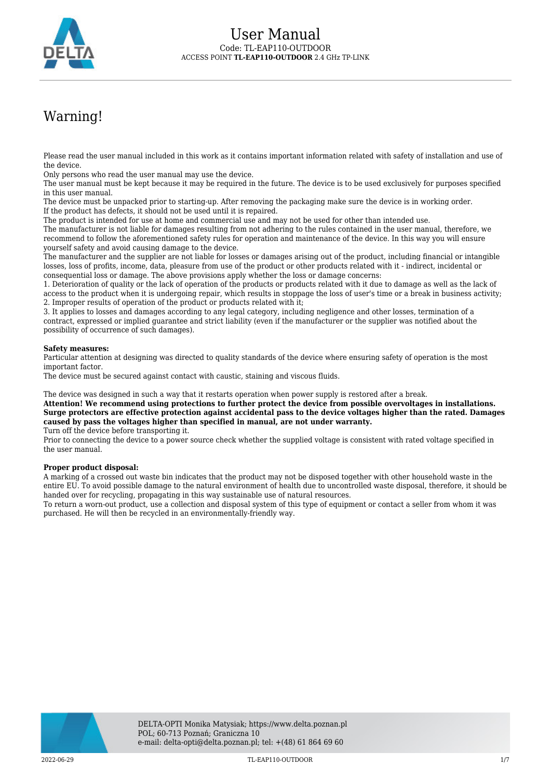

# Warning!

Please read the user manual included in this work as it contains important information related with safety of installation and use of the device.

Only persons who read the user manual may use the device.

The user manual must be kept because it may be required in the future. The device is to be used exclusively for purposes specified in this user manual.

The device must be unpacked prior to starting-up. After removing the packaging make sure the device is in working order. If the product has defects, it should not be used until it is repaired.

The product is intended for use at home and commercial use and may not be used for other than intended use.

The manufacturer is not liable for damages resulting from not adhering to the rules contained in the user manual, therefore, we recommend to follow the aforementioned safety rules for operation and maintenance of the device. In this way you will ensure yourself safety and avoid causing damage to the device.

The manufacturer and the supplier are not liable for losses or damages arising out of the product, including financial or intangible losses, loss of profits, income, data, pleasure from use of the product or other products related with it - indirect, incidental or consequential loss or damage. The above provisions apply whether the loss or damage concerns:

1. Deterioration of quality or the lack of operation of the products or products related with it due to damage as well as the lack of access to the product when it is undergoing repair, which results in stoppage the loss of user's time or a break in business activity; 2. Improper results of operation of the product or products related with it;

3. It applies to losses and damages according to any legal category, including negligence and other losses, termination of a contract, expressed or implied guarantee and strict liability (even if the manufacturer or the supplier was notified about the possibility of occurrence of such damages).

#### **Safety measures:**

Particular attention at designing was directed to quality standards of the device where ensuring safety of operation is the most important factor.

The device must be secured against contact with caustic, staining and viscous fluids.

The device was designed in such a way that it restarts operation when power supply is restored after a break.

**Attention! We recommend using protections to further protect the device from possible overvoltages in installations. Surge protectors are effective protection against accidental pass to the device voltages higher than the rated. Damages caused by pass the voltages higher than specified in manual, are not under warranty.**

Turn off the device before transporting it.

Prior to connecting the device to a power source check whether the supplied voltage is consistent with rated voltage specified in the user manual.

#### **Proper product disposal:**

A marking of a crossed out waste bin indicates that the product may not be disposed together with other household waste in the entire EU. To avoid possible damage to the natural environment of health due to uncontrolled waste disposal, therefore, it should be handed over for recycling, propagating in this way sustainable use of natural resources.

To return a worn-out product, use a collection and disposal system of this type of equipment or contact a seller from whom it was purchased. He will then be recycled in an environmentally-friendly way.

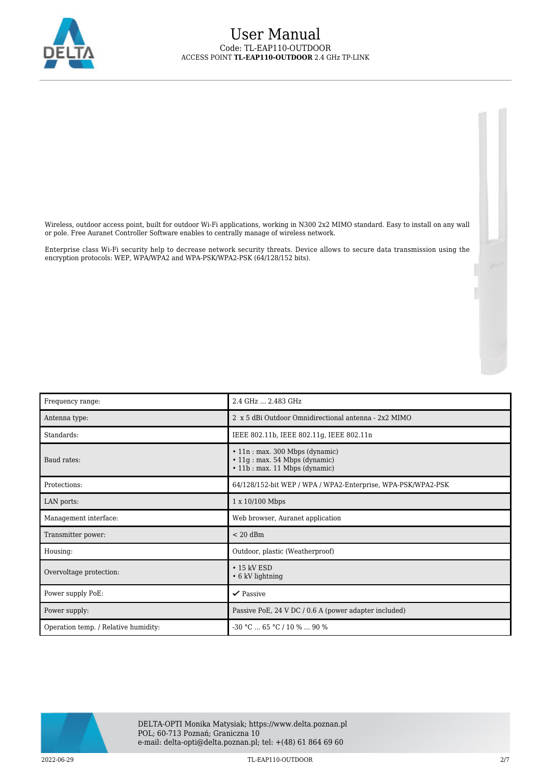

Wireless, outdoor access point, built for outdoor Wi-Fi applications, working in N300 2x2 MIMO standard. Easy to install on any wall or pole. Free Auranet Controller Software enables to centrally manage of wireless network.

Enterprise class Wi-Fi security help to decrease network security threats. Device allows to secure data transmission using the encryption protocols: WEP, WPA/WPA2 and WPA-PSK/WPA2-PSK (64/128/152 bits).

| Frequency range:                     | 2.4 GHz  2.483 GHz                                                                                        |
|--------------------------------------|-----------------------------------------------------------------------------------------------------------|
| Antenna type:                        | 2 x 5 dBi Outdoor Omnidirectional antenna - 2x2 MIMO                                                      |
| Standards:                           | IEEE 802.11b, IEEE 802.11g, IEEE 802.11n                                                                  |
| Baud rates:                          | • 11n : max. 300 Mbps (dynamic)<br>$\cdot$ 11g : max. 54 Mbps (dynamic)<br>• 11b : max. 11 Mbps (dynamic) |
| Protections:                         | 64/128/152-bit WEP / WPA / WPA2-Enterprise, WPA-PSK/WPA2-PSK                                              |
| LAN ports:                           | 1 x 10/100 Mbps                                                                                           |
| Management interface:                | Web browser, Auranet application                                                                          |
| Transmitter power:                   | $< 20$ dBm                                                                                                |
| Housing:                             | Outdoor, plastic (Weatherproof)                                                                           |
| Overvoltage protection:              | $\cdot$ 15 kV ESD<br>$\cdot$ 6 kV lightning                                                               |
| Power supply PoE:                    | $\checkmark$ Passive                                                                                      |
| Power supply:                        | Passive PoE, 24 V DC / 0.6 A (power adapter included)                                                     |
| Operation temp. / Relative humidity: | $-30$ °C $\dots$ 65 °C / 10 % $\dots$ 90 %                                                                |

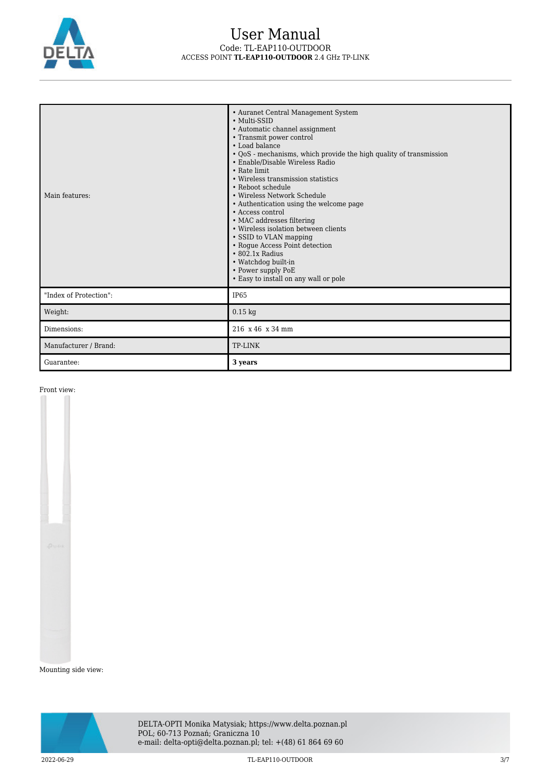

| Main features:         | • Auranet Central Management System<br>• Multi-SSID<br>• Automatic channel assignment<br>• Transmit power control<br>• Load balance<br>• QoS - mechanisms, which provide the high quality of transmission<br>• Enable/Disable Wireless Radio<br>• Rate limit<br>• Wireless transmission statistics<br>• Reboot schedule<br>• Wireless Network Schedule<br>• Authentication using the welcome page<br>• Access control<br>• MAC addresses filtering<br>• Wireless isolation between clients<br>• SSID to VLAN mapping<br>• Rogue Access Point detection<br>$\cdot$ 802.1x Radius<br>• Watchdog built-in<br>• Power supply PoE<br>• Easy to install on any wall or pole |
|------------------------|-----------------------------------------------------------------------------------------------------------------------------------------------------------------------------------------------------------------------------------------------------------------------------------------------------------------------------------------------------------------------------------------------------------------------------------------------------------------------------------------------------------------------------------------------------------------------------------------------------------------------------------------------------------------------|
| "Index of Protection": | <b>IP65</b>                                                                                                                                                                                                                                                                                                                                                                                                                                                                                                                                                                                                                                                           |
| Weight:                | $0.15$ kg                                                                                                                                                                                                                                                                                                                                                                                                                                                                                                                                                                                                                                                             |
| Dimensions:            | 216 x 46 x 34 mm                                                                                                                                                                                                                                                                                                                                                                                                                                                                                                                                                                                                                                                      |
| Manufacturer / Brand:  | TP-LINK                                                                                                                                                                                                                                                                                                                                                                                                                                                                                                                                                                                                                                                               |
| Guarantee:             | 3 years                                                                                                                                                                                                                                                                                                                                                                                                                                                                                                                                                                                                                                                               |

Front view:

Mounting side view:

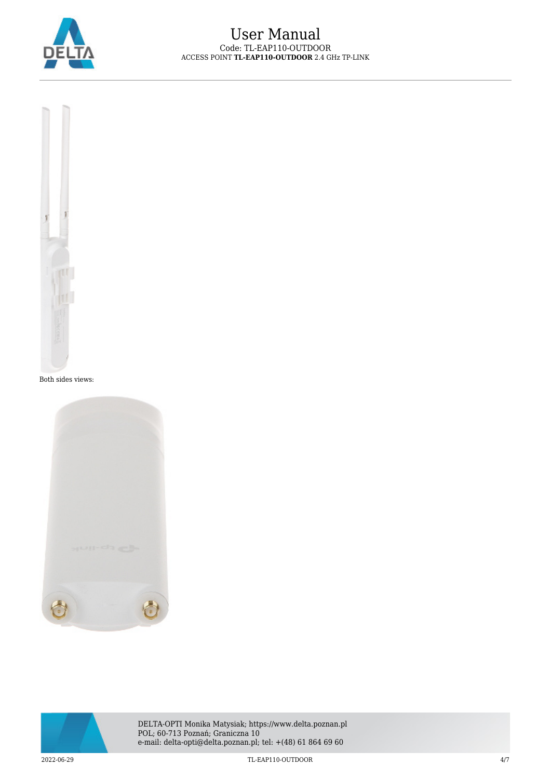



Both sides views:





DELTA-OPTI Monika Matysiak; https://www.delta.poznan.pl POL; 60-713 Poznań; Graniczna 10 e-mail: delta-opti@delta.poznan.pl; tel: +(48) 61 864 69 60

2022-06-29 TL-EAP110-OUTDOOR 4/7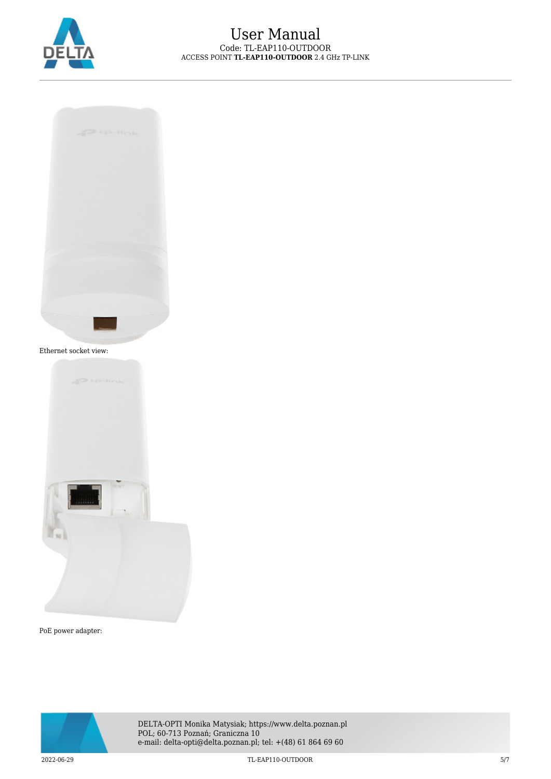



Ethernet socket view:



PoE power adapter:



DELTA-OPTI Monika Matysiak; https://www.delta.poznan.pl POL; 60-713 Poznań; Graniczna 10 e-mail: delta-opti@delta.poznan.pl; tel: +(48) 61 864 69 60

2022-06-29 TL-EAP110-OUTDOOR 5/7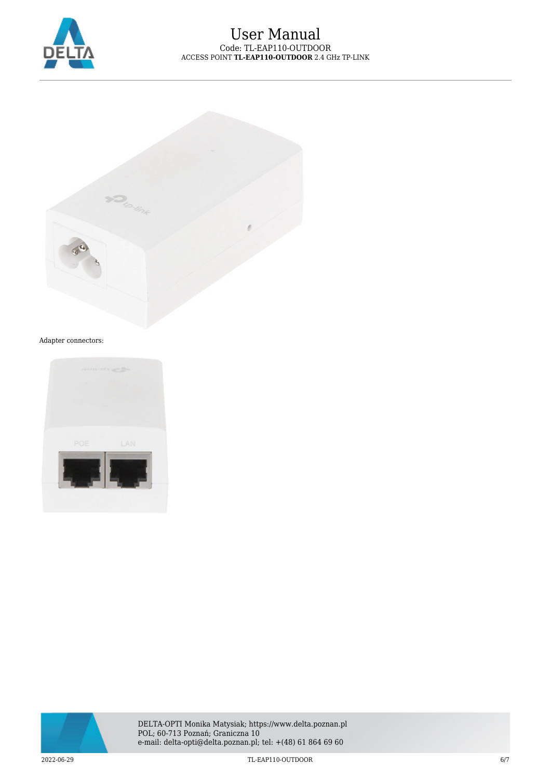



#### Adapter connectors: